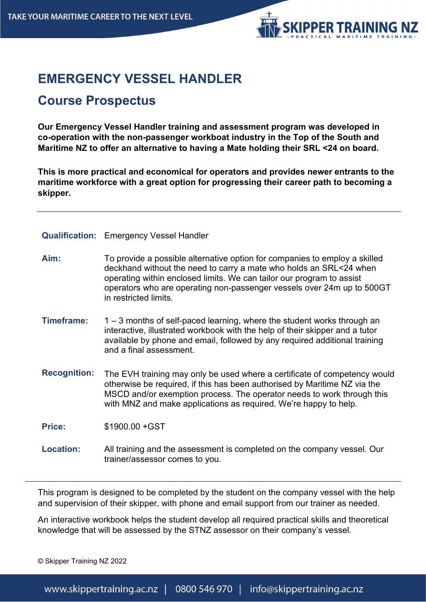

# **EMERGENCY VESSEL HANDLER**

# **Course Prospectus**

**Our Emergency Vessel Handler training and assessment program was developed in co-operation with the non-passenger workboat industry in the Top of the South and Maritime NZ to offer an alternative to having a Mate holding their SRL <24 on board.**

**This is more practical and economical for operators and provides newer entrants to the maritime workforce with a great option for progressing their career path to becoming a skipper.**

|                     | <b>Qualification:</b> Emergency Vessel Handler                                                                                                                                                                                                                                                                               |
|---------------------|------------------------------------------------------------------------------------------------------------------------------------------------------------------------------------------------------------------------------------------------------------------------------------------------------------------------------|
| Aim:                | To provide a possible alternative option for companies to employ a skilled<br>deckhand without the need to carry a mate who holds an SRL<24 when<br>operating within enclosed limits. We can tailor our program to assist<br>operators who are operating non-passenger vessels over 24m up to 500GT<br>in restricted limits. |
| Timeframe:          | $1 - 3$ months of self-paced learning, where the student works through an<br>interactive, illustrated workbook with the help of their skipper and a tutor<br>available by phone and email, followed by any required additional training<br>and a final assessment.                                                           |
| <b>Recognition:</b> | The EVH training may only be used where a certificate of competency would<br>otherwise be required, if this has been authorised by Maritime NZ via the<br>MSCD and/or exemption process. The operator needs to work through this<br>with MNZ and make applications as required. We're happy to help.                         |
| <b>Price:</b>       | \$1900.00 + GST                                                                                                                                                                                                                                                                                                              |
| <b>Location:</b>    | All training and the assessment is completed on the company vessel. Our<br>trainer/assessor comes to you.                                                                                                                                                                                                                    |

This program is designed to be completed by the student on the company vessel with the help and supervision of their skipper, with phone and email support from our trainer as needed.

An interactive workbook helps the student develop all required practical skills and theoretical knowledge that will be assessed by the STNZ assessor on their company's vessel.

© Skipper Training NZ 2022